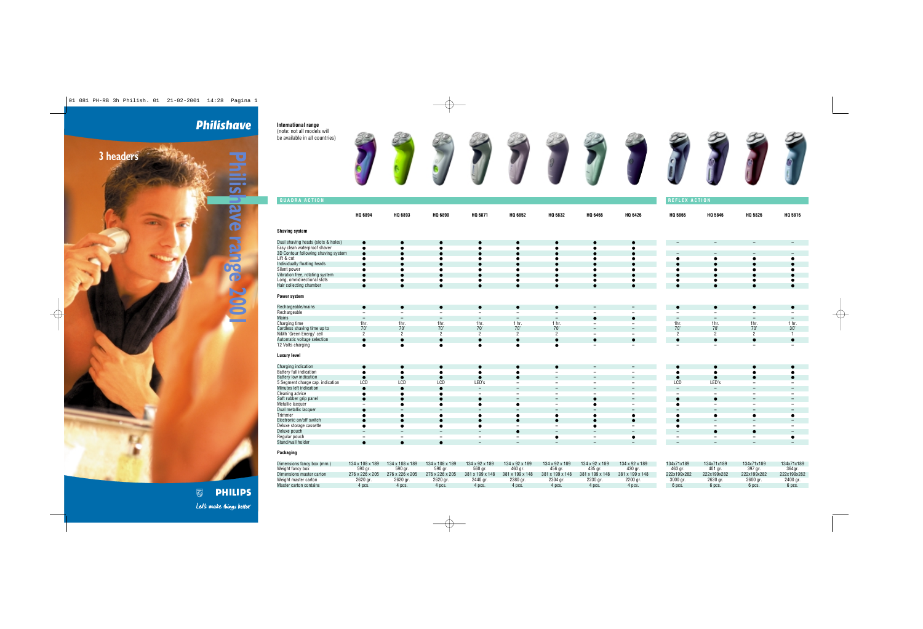## **Philishave**

**Philipshave Research Property Research Property** 

**Shaving system**



| Power system |  |
|--------------|--|
|--------------|--|

| Rechargeable/mains          |                          |                          |   |                          |                                 |                          | $\overline{\phantom{0}}$ | $\overline{\phantom{0}}$ |      |     |     |
|-----------------------------|--------------------------|--------------------------|---|--------------------------|---------------------------------|--------------------------|--------------------------|--------------------------|------|-----|-----|
| Rechargeable                | $\overline{\phantom{0}}$ |                          | - |                          |                                 | $\overline{\phantom{0}}$ |                          |                          |      |     |     |
| Mains                       | $\overline{\phantom{0}}$ |                          | - | $\overline{\phantom{0}}$ |                                 | $\overline{\phantom{0}}$ |                          |                          |      |     |     |
| Charging time               | 1hr.                     | 1hr.                     |   |                          | - hr                            |                          |                          | $\overline{\phantom{0}}$ | ı nr |     |     |
| Cordless shaving time up to | 70'                      | $\overline{\phantom{a}}$ |   |                          | $\overline{\phantom{a}}$<br>7 U | 70'                      |                          | $\overline{\phantom{0}}$ | 70°  | 70' | 30' |
| NiMh 'Green Energy' cell    |                          |                          |   |                          |                                 |                          | $\overline{\phantom{0}}$ |                          |      |     |     |
| Automatic voltage selection |                          |                          |   |                          |                                 |                          |                          |                          |      |     |     |
| 12 Volts charging           |                          |                          |   |                          |                                 |                          | $\overline{\phantom{0}}$ | $\overline{\phantom{0}}$ |      |     |     |
|                             |                          |                          |   |                          |                                 |                          |                          |                          |      |     |     |

## **Luxury level**

| Charging indication              |     |     |     |                          |                          |   | $\overline{\phantom{0}}$ |     |                          |  |
|----------------------------------|-----|-----|-----|--------------------------|--------------------------|---|--------------------------|-----|--------------------------|--|
| <b>Battery full indication</b>   |     |     |     |                          | $\overline{\phantom{0}}$ |   | $\overline{\phantom{0}}$ |     |                          |  |
| <b>Battery low indication</b>    |     |     |     |                          | $\overline{\phantom{0}}$ |   | $\overline{\phantom{0}}$ |     |                          |  |
| 5 Segment charge cap. indication | LCD | LCD | LCD | LED's                    | $\overline{\phantom{0}}$ | - | $\overline{\phantom{a}}$ | LCD | LED's                    |  |
| Minutes left indication          |     |     |     | $\overline{\phantom{0}}$ | $\overline{\phantom{0}}$ |   | $\overline{\phantom{0}}$ |     | -                        |  |
| Cleaning advice                  |     |     |     |                          | $\overline{\phantom{0}}$ |   | $\overline{\phantom{a}}$ |     |                          |  |
| Soft rubber grip panel           |     |     |     |                          | $\overline{\phantom{0}}$ |   | $\overline{\phantom{0}}$ |     |                          |  |
| Metallic lacquer                 |     |     |     |                          | $\overline{\phantom{0}}$ |   | $\overline{\phantom{0}}$ |     | $\overline{\phantom{0}}$ |  |
| Dual metallic lacquer            |     |     |     | $\overline{\phantom{0}}$ | $\overline{\phantom{0}}$ |   | $\overline{\phantom{0}}$ |     | $\overline{\phantom{0}}$ |  |
| Trimmer                          |     |     |     |                          |                          |   |                          |     |                          |  |
| Electronic on/off switch         |     |     |     |                          |                          |   |                          |     | $\overline{\phantom{0}}$ |  |
| Deluxe storage cassette          |     |     |     |                          |                          |   |                          |     |                          |  |
| Deluxe pouch                     |     |     |     |                          | $\overline{\phantom{0}}$ |   |                          |     |                          |  |
| Regular pouch                    |     |     |     |                          |                          |   |                          |     |                          |  |
| Stand/wall holder                |     |     |     |                          |                          |   |                          |     |                          |  |

## **Packaging**

| Dimensions fancy box (mm.) | 134 x 108 x 189 | 134 x 108 x 189 | 134 x 108 x 189 | 134 x 92 x 189              | 134 x 92 x 189  | 134 x 92 x 189  | 134 x 92 x 189  | 134 x 92 x 189  | 134x71x189  | 134x71x189  | 134x71x189  | 134x71x189  |
|----------------------------|-----------------|-----------------|-----------------|-----------------------------|-----------------|-----------------|-----------------|-----------------|-------------|-------------|-------------|-------------|
| Weight fancy box           | 590 ar.         | 590 ar          | 590 ar.         | 560 ar.                     | 460 aı          | 456 ar          | 435 ar.         | 430 ar.         | 463 ar      | 401 ar.     | 397 ar.     | 364ar       |
| Dimensions master carton   | 276 x 226 x 205 | 276 x 226 x 205 | 276 x 226 x 205 | $381 \times 199 \times 148$ | 381 x 199 x 148 | 381 x 199 x 148 | 381 x 199 x 148 | 381 x 199 x 148 | 222x199x282 | 222x199x282 | 222x199x282 | 222x199x282 |
| Weight master carton       | 2620 gr         | 2620 gr.        | 2620 gr.        | 2440 gr.                    | 2380 gr.        | 2304 gr.        | 2230 gr         | 2200 gr         | 3000 gr     | 2630 gr     | 2600 gr     | 2400 gr.    |
| Master carton contains     | 4 pcs.          | 1 pcs.          | 1 pcs.          | 1 pcs.                      | 4 pcs           | 4 pcs.          | 4 pcs.          | 4 pcs.          | 6 pcs       | 6 pcs.      | 6 pcs.      | 6 pcs.      |

**PHILIPS**  $\bullet$ Let's make things better.

| Q 5866    | HQ 5846   | HQ 5826   | HQ 5816   |
|-----------|-----------|-----------|-----------|
|           |           |           |           |
|           |           |           |           |
|           |           |           |           |
| $\bullet$ |           | $\bullet$ |           |
| $\bullet$ | $\bullet$ | $\bullet$ | $\bullet$ |
|           |           |           |           |
|           |           |           |           |

| $\epsilon$ |  |  |
|------------|--|--|
| $\bullet$  |  |  |
| $\bullet$  |  |  |
|            |  |  |

| -              |      |      |                  |
|----------------|------|------|------------------|
| 1hr.           | 1hr. | 1hr. | 1 <sub>hr.</sub> |
| 70'            | 70'  | 70'  | 30'              |
| $\overline{2}$ | 2    | 2    |                  |
|                |      |      |                  |
|                |      |      |                  |

| $\epsilon$       | $\bullet$ |           |           |
|------------------|-----------|-----------|-----------|
| $\ddot{\bullet}$ | $\bullet$ |           | $\bullet$ |
| $\epsilon$       |           | $\bullet$ |           |
| LCD              | LED's     |           |           |
| $\equiv$         |           | -         |           |
|                  |           |           |           |
| $\bullet$        | $\bullet$ |           |           |
| $\bullet$        |           |           |           |
|                  |           |           |           |
| $\bullet$        |           | $\bullet$ | ●         |
| $\bullet$        |           |           |           |
|                  |           |           |           |
|                  | ●         | ٠         |           |
|                  |           |           | ●         |
|                  |           |           |           |

**International range**  (note: not all models will be available in all countries)